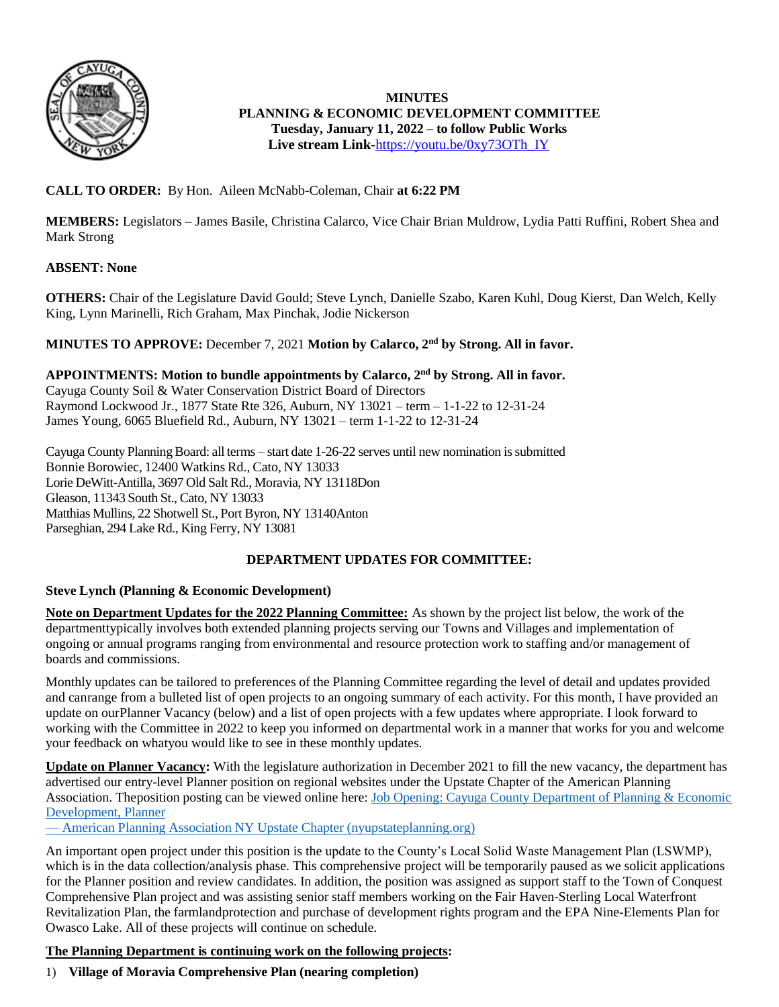

**MINUTES PLANNING & ECONOMIC DEVELOPMENT COMMITTEE Tuesday, January 11, 2022 – to follow Public Works Live stream Link-**[https://youtu.be/0xy73OTh\\_IY](https://youtu.be/0xy73OTh_IY)

#### **CALL TO ORDER:** By Hon. Aileen McNabb-Coleman, Chair **at 6:22 PM**

**MEMBERS:** Legislators – James Basile, Christina Calarco, Vice Chair Brian Muldrow, Lydia Patti Ruffini, Robert Shea and Mark Strong

#### **ABSENT: None**

**OTHERS:** Chair of the Legislature David Gould; Steve Lynch, Danielle Szabo, Karen Kuhl, Doug Kierst, Dan Welch, Kelly King, Lynn Marinelli, Rich Graham, Max Pinchak, Jodie Nickerson

#### **MINUTES TO APPROVE:** December 7, 2021 **Motion by Calarco, 2nd by Strong. All in favor.**

**APPOINTMENTS: Motion to bundle appointments by Calarco, 2nd by Strong. All in favor.** Cayuga County Soil & Water Conservation District Board of Directors Raymond Lockwood Jr., 1877 State Rte 326, Auburn, NY 13021 – term – 1-1-22 to 12-31-24 James Young, 6065 Bluefield Rd., Auburn, NY 13021 – term 1-1-22 to 12-31-24

Cayuga County PlanningBoard: all terms – start date 1-26-22 serves until new nomination issubmitted Bonnie Borowiec, 12400 Watkins Rd., Cato, NY 13033 Lorie DeWitt-Antilla, 3697 Old Salt Rd., Moravia, NY 13118Don Gleason, 11343 South St., Cato, NY 13033 Matthias Mullins, 22 Shotwell St., Port Byron, NY 13140Anton Parseghian, 294 Lake Rd., King Ferry, NY 13081

#### **DEPARTMENT UPDATES FOR COMMITTEE:**

#### **Steve Lynch (Planning & Economic Development)**

**Note on Department Updates for the 2022 Planning Committee:** As shown by the project list below, the work of the departmenttypically involves both extended planning projects serving our Towns and Villages and implementation of ongoing or annual programs ranging from environmental and resource protection work to staffing and/or management of boards and commissions.

Monthly updates can be tailored to preferences of the Planning Committee regarding the level of detail and updates provided and canrange from a bulleted list of open projects to an ongoing summary of each activity. For this month, I have provided an update on ourPlanner Vacancy (below) and a list of open projects with a few updates where appropriate. I look forward to working with the Committee in 2022 to keep you informed on departmental work in a manner that works for you and welcome your feedback on whatyou would like to see in these monthly updates.

**Update on Planner Vacancy:** With the legislature authorization in December 2021 to fill the new vacancy, the department has advertised our entry-level Planner position on regional websites under the Upstate Chapter of the American Planning Association. Theposition posting can be viewed online here: Job Opening: Cayuga County [Department](https://www.nyupstateplanning.org/blog/2021/12/16/job-opening-cayuga-county-department-of-planning-amp-economic-development-planner) of Planning & Economic [Development,](https://www.nyupstateplanning.org/blog/2021/12/16/job-opening-cayuga-county-department-of-planning-amp-economic-development-planner) Planner

— American Planning Association NY Upstate Chapter [\(nyupstateplanning.org\)](https://www.nyupstateplanning.org/blog/2021/12/16/job-opening-cayuga-county-department-of-planning-amp-economic-development-planner)

An important open project under this position is the update to the County's Local Solid Waste Management Plan (LSWMP), which is in the data collection/analysis phase. This comprehensive project will be temporarily paused as we solicit applications for the Planner position and review candidates. In addition, the position was assigned as support staff to the Town of Conquest Comprehensive Plan project and was assisting senior staff members working on the Fair Haven-Sterling Local Waterfront Revitalization Plan, the farmlandprotection and purchase of development rights program and the EPA Nine-Elements Plan for Owasco Lake. All of these projects will continue on schedule.

#### **The Planning Department is continuing work on the following projects:**

1) **Village of Moravia Comprehensive Plan (nearing completion)**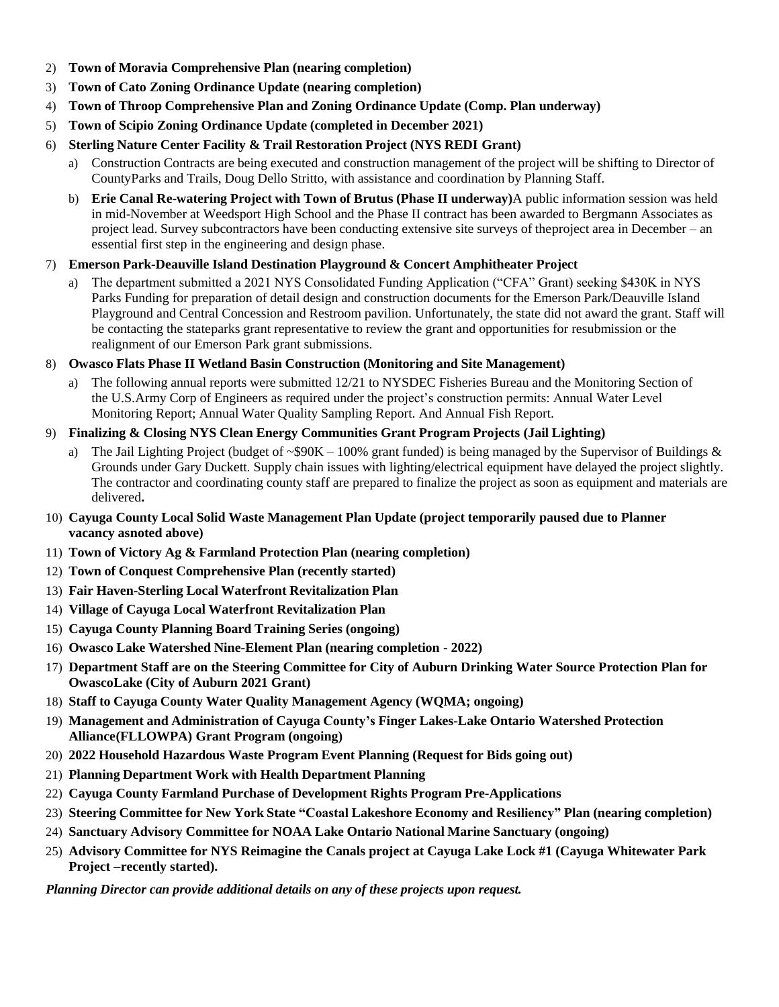- 2) **Town of Moravia Comprehensive Plan (nearing completion)**
- 3) **Town of Cato Zoning Ordinance Update (nearing completion)**
- 4) **Town of Throop Comprehensive Plan and Zoning Ordinance Update (Comp. Plan underway)**
- 5) **Town of Scipio Zoning Ordinance Update (completed in December 2021)**
- 6) **Sterling Nature Center Facility & Trail Restoration Project (NYS REDI Grant)**
	- a) Construction Contracts are being executed and construction management of the project will be shifting to Director of CountyParks and Trails, Doug Dello Stritto, with assistance and coordination by Planning Staff.
	- b) **Erie Canal Re-watering Project with Town of Brutus (Phase II underway)**A public information session was held in mid-November at Weedsport High School and the Phase II contract has been awarded to Bergmann Associates as project lead. Survey subcontractors have been conducting extensive site surveys of theproject area in December – an essential first step in the engineering and design phase.

#### 7) **Emerson Park-Deauville Island Destination Playground & Concert Amphitheater Project**

a) The department submitted a 2021 NYS Consolidated Funding Application ("CFA" Grant) seeking \$430K in NYS Parks Funding for preparation of detail design and construction documents for the Emerson Park/Deauville Island Playground and Central Concession and Restroom pavilion. Unfortunately, the state did not award the grant. Staff will be contacting the stateparks grant representative to review the grant and opportunities for resubmission or the realignment of our Emerson Park grant submissions.

#### 8) **Owasco Flats Phase II Wetland Basin Construction (Monitoring and Site Management)**

a) The following annual reports were submitted 12/21 to NYSDEC Fisheries Bureau and the Monitoring Section of the U.S.Army Corp of Engineers as required under the project's construction permits: Annual Water Level Monitoring Report; Annual Water Quality Sampling Report. And Annual Fish Report.

#### 9) **Finalizing & Closing NYS Clean Energy Communities Grant Program Projects (Jail Lighting)**

- a) The Jail Lighting Project (budget of  $\sim$ \$90K 100% grant funded) is being managed by the Supervisor of Buildings & Grounds under Gary Duckett. Supply chain issues with lighting/electrical equipment have delayed the project slightly. The contractor and coordinating county staff are prepared to finalize the project as soon as equipment and materials are delivered**.**
- 10) **Cayuga County Local Solid Waste Management Plan Update (project temporarily paused due to Planner vacancy asnoted above)**
- 11) **Town of Victory Ag & Farmland Protection Plan (nearing completion)**
- 12) **Town of Conquest Comprehensive Plan (recently started)**
- 13) **Fair Haven-Sterling Local Waterfront Revitalization Plan**
- 14) **Village of Cayuga Local Waterfront Revitalization Plan**
- 15) **Cayuga County Planning Board Training Series (ongoing)**
- 16) **Owasco Lake Watershed Nine-Element Plan (nearing completion - 2022)**
- 17) **Department Staff are on the Steering Committee for City of Auburn Drinking Water Source Protection Plan for OwascoLake (City of Auburn 2021 Grant)**
- 18) **Staff to Cayuga County Water Quality Management Agency (WQMA; ongoing)**
- 19) **Management and Administration of Cayuga County's Finger Lakes-Lake Ontario Watershed Protection Alliance(FLLOWPA) Grant Program (ongoing)**
- 20) **2022 Household Hazardous Waste Program Event Planning (Request for Bids going out)**
- 21) **Planning Department Work with Health Department Planning**
- 22) **Cayuga County Farmland Purchase of Development Rights Program Pre-Applications**
- 23) **Steering Committee for New York State "Coastal Lakeshore Economy and Resiliency" Plan (nearing completion)**
- 24) **Sanctuary Advisory Committee for NOAA Lake Ontario National Marine Sanctuary (ongoing)**
- 25) **Advisory Committee for NYS Reimagine the Canals project at Cayuga Lake Lock #1 (Cayuga Whitewater Park Project –recently started).**

*Planning Director can provide additional details on any of these projects upon request.*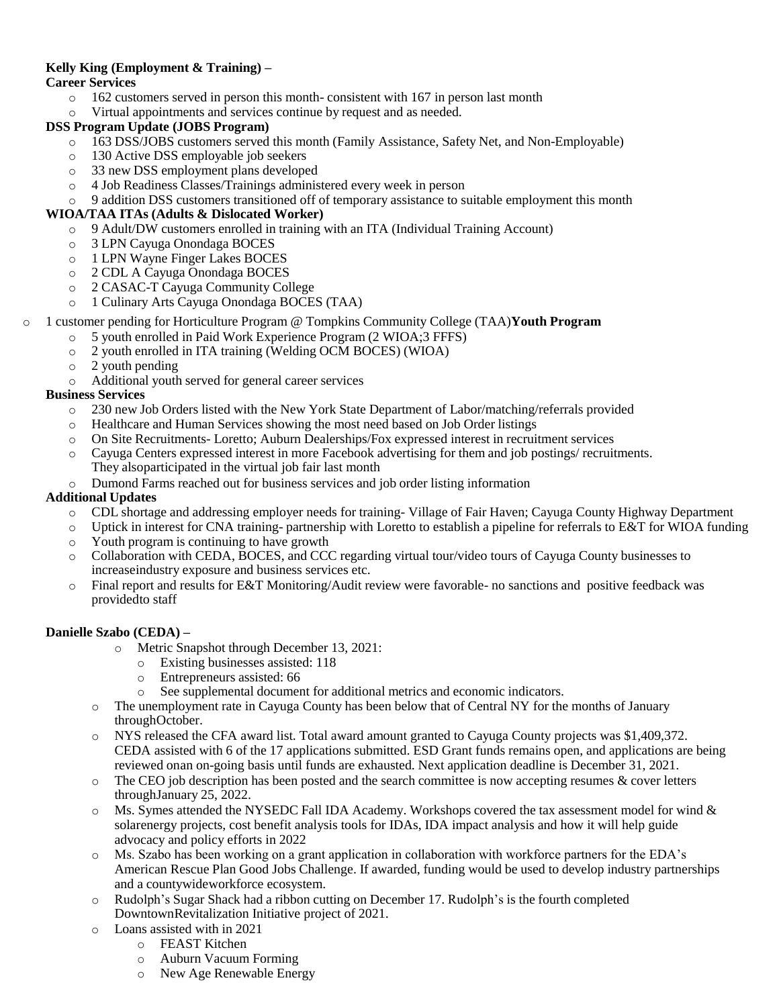#### **Kelly King (Employment & Training) –**

#### **Career Services**

- o 162 customers served in person this month- consistent with 167 in person last month
- o Virtual appointments and services continue by request and as needed.

#### **DSS Program Update (JOBS Program)**

- o 163 DSS/JOBS customers served this month (Family Assistance, Safety Net, and Non-Employable)
- o 130 Active DSS employable job seekers
- o 33 new DSS employment plans developed
- o 4 Job Readiness Classes/Trainings administered every week in person
- o 9 addition DSS customers transitioned off of temporary assistance to suitable employment this month

#### **WIOA/TAA ITAs (Adults & Dislocated Worker)**

- o 9 Adult/DW customers enrolled in training with an ITA (Individual Training Account)
- o 3 LPN Cayuga Onondaga BOCES
- o 1 LPN Wayne Finger Lakes BOCES
- o 2 CDL A Cayuga Onondaga BOCES
- o 2 CASAC-T Cayuga Community College
- o 1 Culinary Arts Cayuga Onondaga BOCES (TAA)
- o 1 customer pending for Horticulture Program @ Tompkins Community College (TAA)**Youth Program**
	- o 5 youth enrolled in Paid Work Experience Program (2 WIOA;3 FFFS)
	- o 2 youth enrolled in ITA training (Welding OCM BOCES) (WIOA)
	- o 2 youth pending
	- o Additional youth served for general career services

#### **Business Services**

- o 230 new Job Orders listed with the New York State Department of Labor/matching/referrals provided
- o Healthcare and Human Services showing the most need based on Job Order listings
- o On Site Recruitments- Loretto; Auburn Dealerships/Fox expressed interest in recruitment services
- o Cayuga Centers expressed interest in more Facebook advertising for them and job postings/ recruitments. They alsoparticipated in the virtual job fair last month
- o Dumond Farms reached out for business services and job order listing information

#### **Additional Updates**

- o CDL shortage and addressing employer needs for training- Village of Fair Haven; Cayuga County Highway Department
- o Uptick in interest for CNA training- partnership with Loretto to establish a pipeline for referrals to E&T for WIOA funding
- o Youth program is continuing to have growth
- o Collaboration with CEDA, BOCES, and CCC regarding virtual tour/video tours of Cayuga County businesses to increaseindustry exposure and business services etc.
- o Final report and results for E&T Monitoring/Audit review were favorable- no sanctions and positive feedback was providedto staff

#### **Danielle Szabo (CEDA) –**

- o Metric Snapshot through December 13, 2021:
	- o Existing businesses assisted: 118
	- o Entrepreneurs assisted: 66
	- o See supplemental document for additional metrics and economic indicators.
- o The unemployment rate in Cayuga County has been below that of Central NY for the months of January throughOctober.
- o NYS released the CFA award list. Total award amount granted to Cayuga County projects was \$1,409,372. CEDA assisted with 6 of the 17 applications submitted. ESD Grant funds remains open, and applications are being reviewed onan on-going basis until funds are exhausted. Next application deadline is December 31, 2021.
- $\circ$  The CEO job description has been posted and the search committee is now accepting resumes & cover letters throughJanuary 25, 2022.
- Ms. Symes attended the NYSEDC Fall IDA Academy. Workshops covered the tax assessment model for wind  $\&$ solarenergy projects, cost benefit analysis tools for IDAs, IDA impact analysis and how it will help guide advocacy and policy efforts in 2022
- Ms. Szabo has been working on a grant application in collaboration with workforce partners for the EDA's American Rescue Plan Good Jobs Challenge. If awarded, funding would be used to develop industry partnerships and a countywideworkforce ecosystem.
- o Rudolph's Sugar Shack had a ribbon cutting on December 17. Rudolph's is the fourth completed DowntownRevitalization Initiative project of 2021.
- o Loans assisted with in 2021
	- o FEAST Kitchen
	- o Auburn Vacuum Forming
	- o New Age Renewable Energy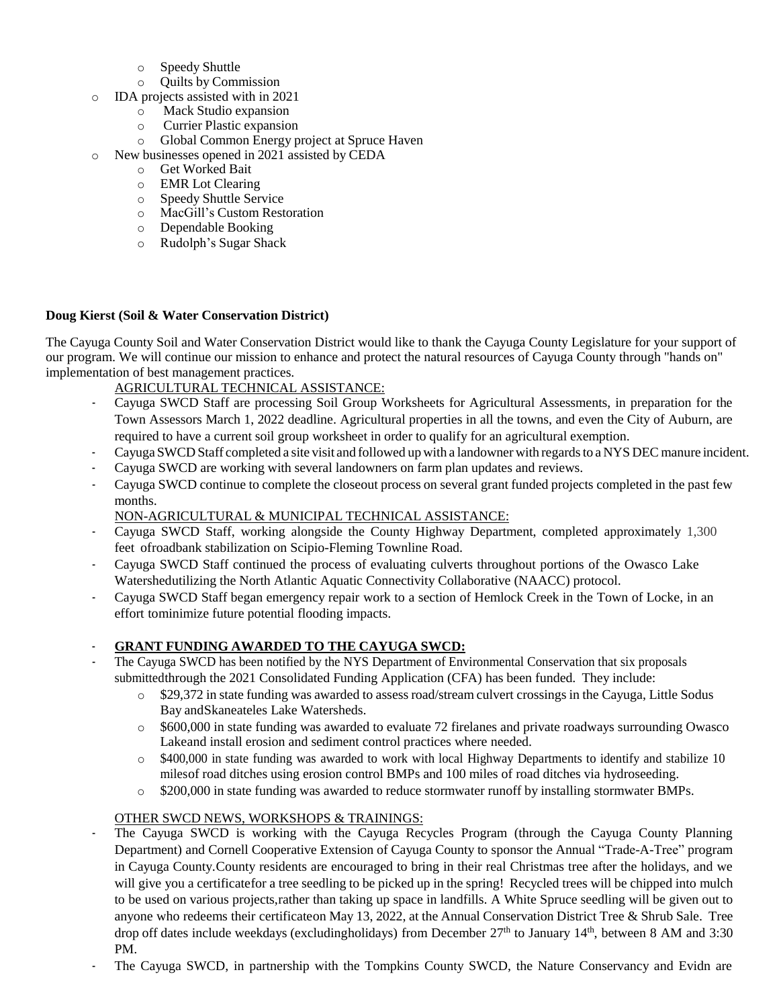- o Speedy Shuttle
- o Quilts by Commission
- o IDA projects assisted with in 2021
	- o Mack Studio expansion
	- o Currier Plastic expansion
	- o Global Common Energy project at Spruce Haven
- o New businesses opened in 2021 assisted by CEDA
	- o Get Worked Bait
	- o EMR Lot Clearing
	- o Speedy Shuttle Service
	- o MacGill's Custom Restoration
	- o Dependable Booking
	- o Rudolph's Sugar Shack

#### **Doug Kierst (Soil & Water Conservation District)**

The Cayuga County Soil and Water Conservation District would like to thank the Cayuga County Legislature for your support of our program. We will continue our mission to enhance and protect the natural resources of Cayuga County through "hands on" implementation of best management practices.

#### AGRICULTURAL TECHNICAL ASSISTANCE:

- Cayuga SWCD Staff are processing Soil Group Worksheets for Agricultural Assessments, in preparation for the Town Assessors March 1, 2022 deadline. Agricultural properties in all the towns, and even the City of Auburn, are required to have a current soil group worksheet in order to qualify for an agricultural exemption.
- Cayuga SWCD Staff completed a site visit and followed up with a landowner with regards to a NYS DEC manure incident.
- Cayuga SWCD are working with several landowners on farm plan updates and reviews.
- Cayuga SWCD continue to complete the closeout process on several grant funded projects completed in the past few months.
	- NON-AGRICULTURAL & MUNICIPAL TECHNICAL ASSISTANCE:
- Cayuga SWCD Staff, working alongside the County Highway Department, completed approximately 1,300 feet ofroadbank stabilization on Scipio-Fleming Townline Road.
- Cayuga SWCD Staff continued the process of evaluating culverts throughout portions of the Owasco Lake Watershedutilizing the North Atlantic Aquatic Connectivity Collaborative (NAACC) protocol.
- Cayuga SWCD Staff began emergency repair work to a section of Hemlock Creek in the Town of Locke, in an effort tominimize future potential flooding impacts.

#### - **GRANT FUNDING AWARDED TO THE CAYUGA SWCD:**

- The Cayuga SWCD has been notified by the NYS Department of Environmental Conservation that six proposals submittedthrough the 2021 Consolidated Funding Application (CFA) has been funded. They include:
	- o \$29,372 in state funding was awarded to assess road/stream culvert crossings in the Cayuga, Little Sodus Bay andSkaneateles Lake Watersheds.
	- o \$600,000 in state funding was awarded to evaluate 72 firelanes and private roadways surrounding Owasco Lakeand install erosion and sediment control practices where needed.
	- o \$400,000 in state funding was awarded to work with local Highway Departments to identify and stabilize 10 milesof road ditches using erosion control BMPs and 100 miles of road ditches via hydroseeding.
	- o \$200,000 in state funding was awarded to reduce stormwater runoff by installing stormwater BMPs.

#### OTHER SWCD NEWS, WORKSHOPS & TRAININGS:

- The Cayuga SWCD is working with the Cayuga Recycles Program (through the Cayuga County Planning Department) and Cornell Cooperative Extension of Cayuga County to sponsor the Annual "Trade-A-Tree" program in Cayuga County.County residents are encouraged to bring in their real Christmas tree after the holidays, and we will give you a certificate for a tree seedling to be picked up in the spring! Recycled trees will be chipped into mulch to be used on various projects,rather than taking up space in landfills. A White Spruce seedling will be given out to anyone who redeems their certificateon May 13, 2022, at the Annual Conservation District Tree & Shrub Sale. Tree drop off dates include weekdays (excludingholidays) from December  $27<sup>th</sup>$  to January  $14<sup>th</sup>$ , between 8 AM and 3:30 PM.
- The Cayuga SWCD, in partnership with the Tompkins County SWCD, the Nature Conservancy and Evidn are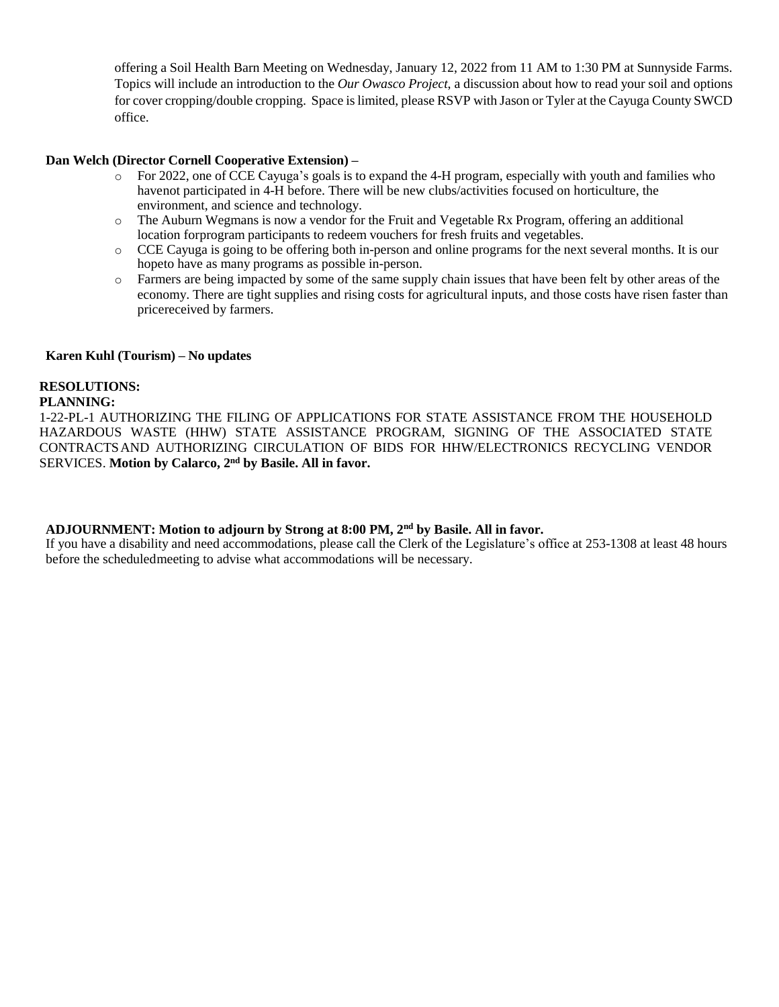offering a Soil Health Barn Meeting on Wednesday, January 12, 2022 from 11 AM to 1:30 PM at Sunnyside Farms. Topics will include an introduction to the *Our Owasco Project*, a discussion about how to read your soil and options for cover cropping/double cropping. Space is limited, please RSVP with Jason or Tyler at the Cayuga County SWCD office.

#### **Dan Welch (Director Cornell Cooperative Extension) –**

- o For 2022, one of CCE Cayuga's goals is to expand the 4-H program, especially with youth and families who havenot participated in 4-H before. There will be new clubs/activities focused on horticulture, the environment, and science and technology.
- o The Auburn Wegmans is now a vendor for the Fruit and Vegetable Rx Program, offering an additional location forprogram participants to redeem vouchers for fresh fruits and vegetables.
- o CCE Cayuga is going to be offering both in-person and online programs for the next several months. It is our hopeto have as many programs as possible in-person.
- o Farmers are being impacted by some of the same supply chain issues that have been felt by other areas of the economy. There are tight supplies and rising costs for agricultural inputs, and those costs have risen faster than pricereceived by farmers.

#### **Karen Kuhl (Tourism) – No updates**

#### **RESOLUTIONS:**

#### **PLANNING:**

1-22-PL-1 AUTHORIZING THE FILING OF APPLICATIONS FOR STATE ASSISTANCE FROM THE HOUSEHOLD HAZARDOUS WASTE (HHW) STATE ASSISTANCE PROGRAM, SIGNING OF THE ASSOCIATED STATE CONTRACTSAND AUTHORIZING CIRCULATION OF BIDS FOR HHW/ELECTRONICS RECYCLING VENDOR SERVICES. **Motion by Calarco, 2nd by Basile. All in favor.**

#### **ADJOURNMENT: Motion to adjourn by Strong at 8:00 PM, 2nd by Basile. All in favor.**

If you have a disability and need accommodations, please call the Clerk of the Legislature's office at 253-1308 at least 48 hours before the scheduledmeeting to advise what accommodations will be necessary.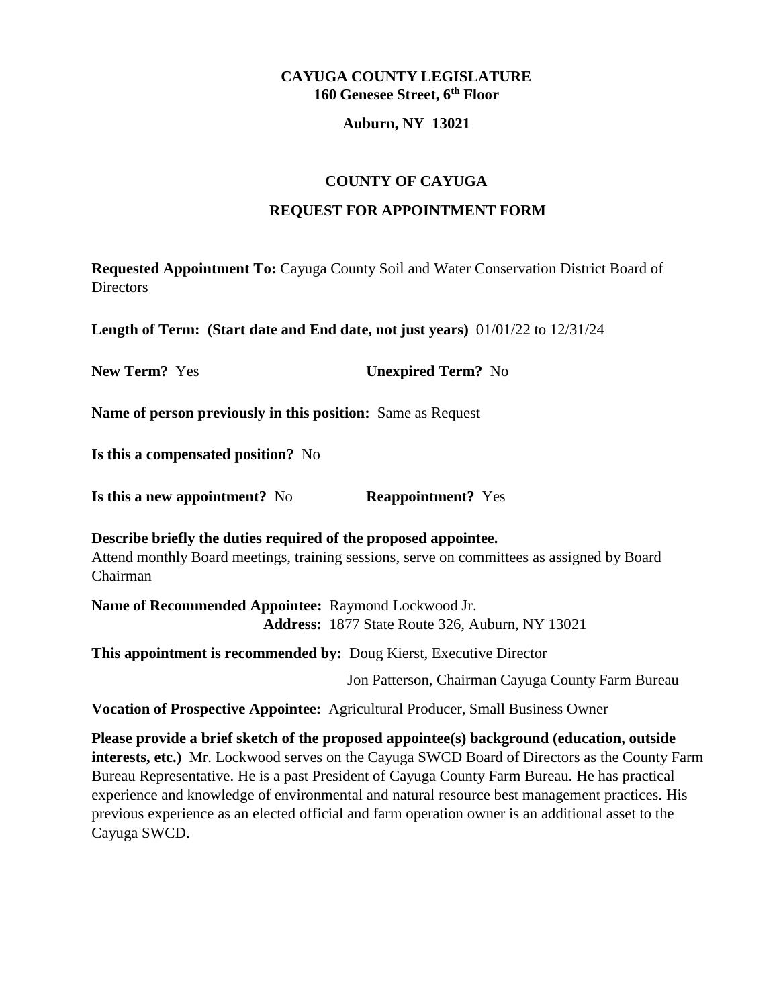#### **Auburn, NY 13021**

# **COUNTY OF CAYUGA**

## **REQUEST FOR APPOINTMENT FORM**

**Requested Appointment To:** Cayuga County Soil and Water Conservation District Board of **Directors** 

**Length of Term: (Start date and End date, not just years)** 01/01/22 to 12/31/24

**New Term?** Yes **Unexpired Term?** No

**Name of person previously in this position:** Same as Request

**Is this a compensated position?** No

**Is this a new appointment?** No **Reappointment?** Yes

**Describe briefly the duties required of the proposed appointee.** Attend monthly Board meetings, training sessions, serve on committees as assigned by Board Chairman

**Name of Recommended Appointee:** Raymond Lockwood Jr. **Address:** 1877 State Route 326, Auburn, NY 13021

**This appointment is recommended by:** Doug Kierst, Executive Director

Jon Patterson, Chairman Cayuga County Farm Bureau

**Vocation of Prospective Appointee:** Agricultural Producer, Small Business Owner

**Please provide a brief sketch of the proposed appointee(s) background (education, outside interests, etc.)** Mr. Lockwood serves on the Cayuga SWCD Board of Directors as the County Farm Bureau Representative. He is a past President of Cayuga County Farm Bureau. He has practical experience and knowledge of environmental and natural resource best management practices. His previous experience as an elected official and farm operation owner is an additional asset to the Cayuga SWCD.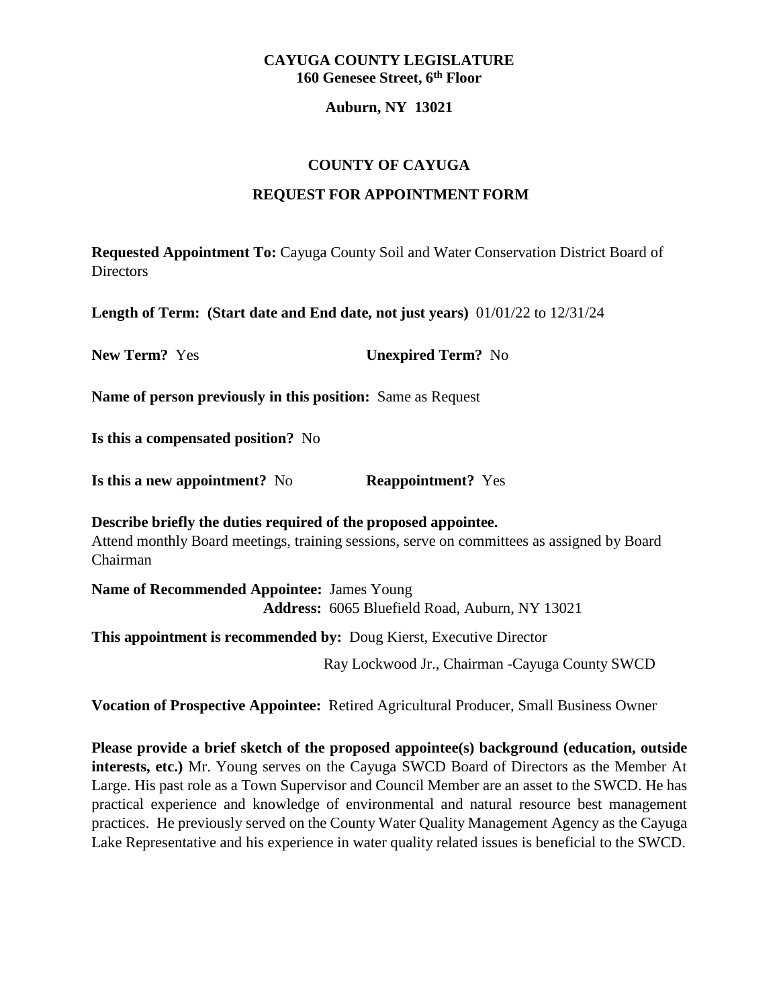#### **Auburn, NY 13021**

## **COUNTY OF CAYUGA**

## **REQUEST FOR APPOINTMENT FORM**

**Requested Appointment To:** Cayuga County Soil and Water Conservation District Board of **Directors** 

**Length of Term: (Start date and End date, not just years)** 01/01/22 to 12/31/24

**New Term?** Yes **Unexpired Term?** No

**Name of person previously in this position:** Same as Request

**Is this a compensated position?** No

**Is this a new appointment?** No **Reappointment?** Yes

**Describe briefly the duties required of the proposed appointee.** Attend monthly Board meetings, training sessions, serve on committees as assigned by Board Chairman

**Name of Recommended Appointee:** James Young **Address:** 6065 Bluefield Road, Auburn, NY 13021

**This appointment is recommended by:** Doug Kierst, Executive Director

Ray Lockwood Jr., Chairman -Cayuga County SWCD

**Vocation of Prospective Appointee:** Retired Agricultural Producer, Small Business Owner

**Please provide a brief sketch of the proposed appointee(s) background (education, outside interests, etc.)** Mr. Young serves on the Cayuga SWCD Board of Directors as the Member At Large. His past role as a Town Supervisor and Council Member are an asset to the SWCD. He has practical experience and knowledge of environmental and natural resource best management practices. He previously served on the County Water Quality Management Agency as the Cayuga Lake Representative and his experience in water quality related issues is beneficial to the SWCD.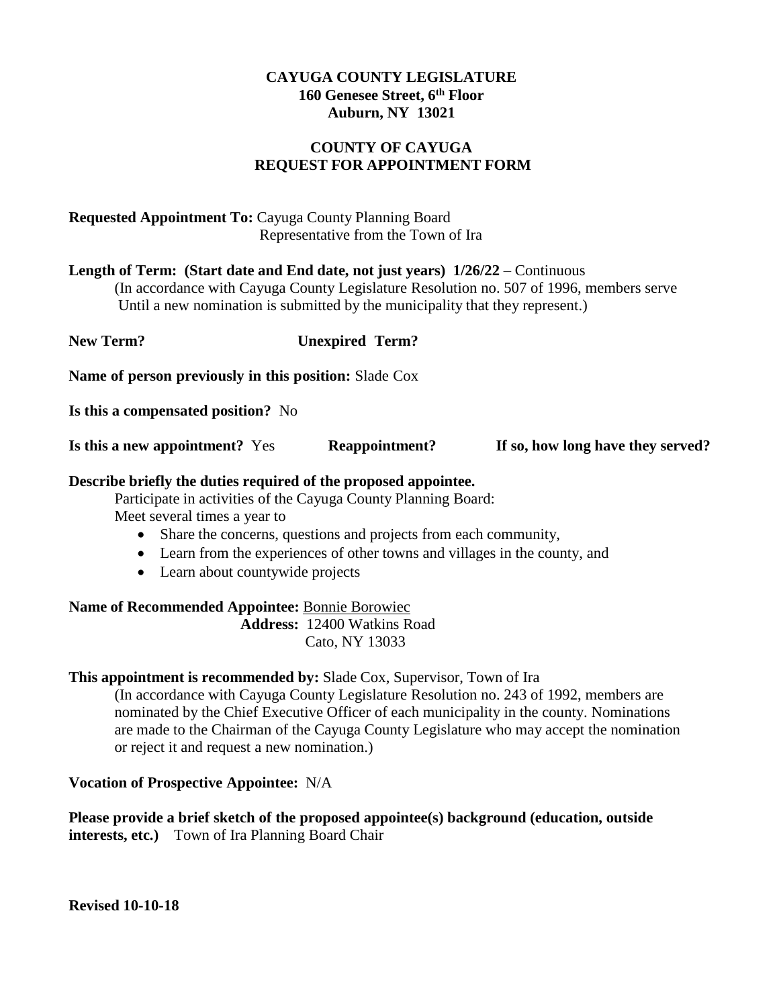# **COUNTY OF CAYUGA REQUEST FOR APPOINTMENT FORM**

# **Requested Appointment To:** Cayuga County Planning Board Representative from the Town of Ira

**Length of Term: (Start date and End date, not just years) 1/26/22** – Continuous (In accordance with Cayuga County Legislature Resolution no. 507 of 1996, members serve Until a new nomination is submitted by the municipality that they represent.)

**New Term? Unexpired Term? Name of person previously in this position:** Slade Cox **Is this a compensated position?** No **Is this a new appointment?** Yes **Reappointment? If so, how long have they served?**

## **Describe briefly the duties required of the proposed appointee.**

Participate in activities of the Cayuga County Planning Board: Meet several times a year to

- Share the concerns, questions and projects from each community,
- Learn from the experiences of other towns and villages in the county, and
- Learn about countywide projects

**Name of Recommended Appointee:** Bonnie Borowiec **Address:** 12400 Watkins Road Cato, NY 13033

#### **This appointment is recommended by:** Slade Cox, Supervisor, Town of Ira

(In accordance with Cayuga County Legislature Resolution no. 243 of 1992, members are nominated by the Chief Executive Officer of each municipality in the county. Nominations are made to the Chairman of the Cayuga County Legislature who may accept the nomination or reject it and request a new nomination.)

# **Vocation of Prospective Appointee:** N/A

**Please provide a brief sketch of the proposed appointee(s) background (education, outside interests, etc.)** Town of Ira Planning Board Chair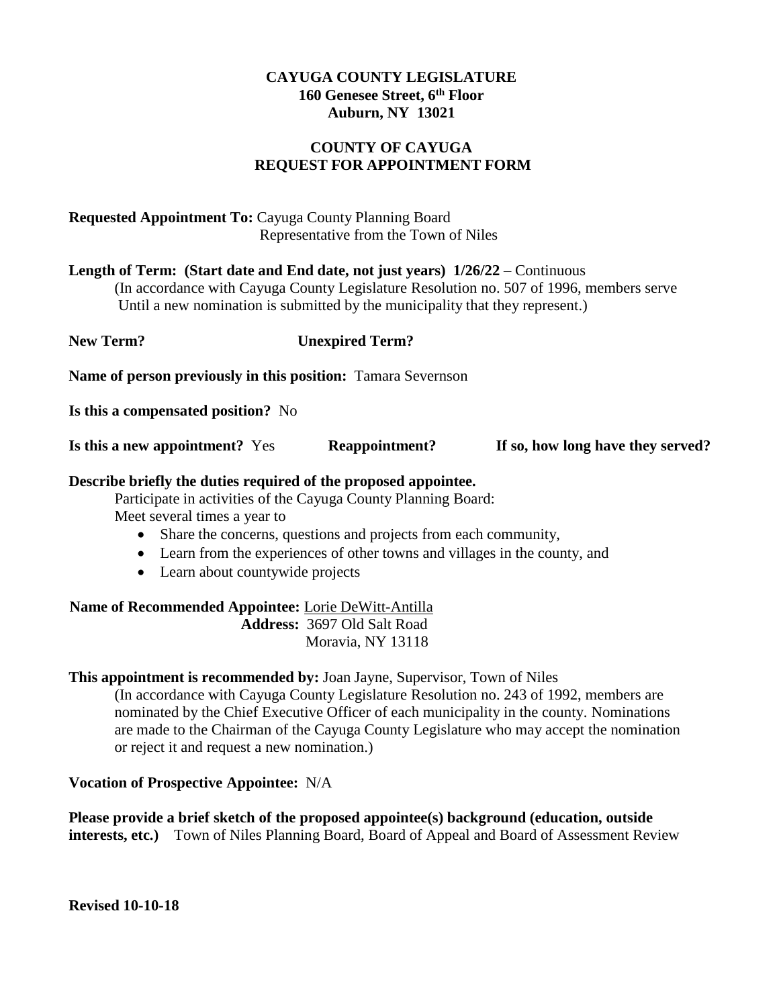# **COUNTY OF CAYUGA REQUEST FOR APPOINTMENT FORM**

# **Requested Appointment To:** Cayuga County Planning Board Representative from the Town of Niles

**Length of Term: (Start date and End date, not just years) 1/26/22** – Continuous (In accordance with Cayuga County Legislature Resolution no. 507 of 1996, members serve

Until a new nomination is submitted by the municipality that they represent.)

**New Term? Unexpired Term? Name of person previously in this position:** Tamara Severnson **Is this a compensated position?** No

**Is this a new appointment?** Yes **Reappointment? If so, how long have they served?**

# **Describe briefly the duties required of the proposed appointee.**

Participate in activities of the Cayuga County Planning Board: Meet several times a year to

- Share the concerns, questions and projects from each community,
- Learn from the experiences of other towns and villages in the county, and
- Learn about countywide projects

**Name of Recommended Appointee:** Lorie DeWitt-Antilla **Address:** 3697 Old Salt Road Moravia, NY 13118

# **This appointment is recommended by:** Joan Jayne, Supervisor, Town of Niles

(In accordance with Cayuga County Legislature Resolution no. 243 of 1992, members are nominated by the Chief Executive Officer of each municipality in the county. Nominations are made to the Chairman of the Cayuga County Legislature who may accept the nomination or reject it and request a new nomination.)

# **Vocation of Prospective Appointee:** N/A

**Please provide a brief sketch of the proposed appointee(s) background (education, outside interests, etc.)** Town of Niles Planning Board, Board of Appeal and Board of Assessment Review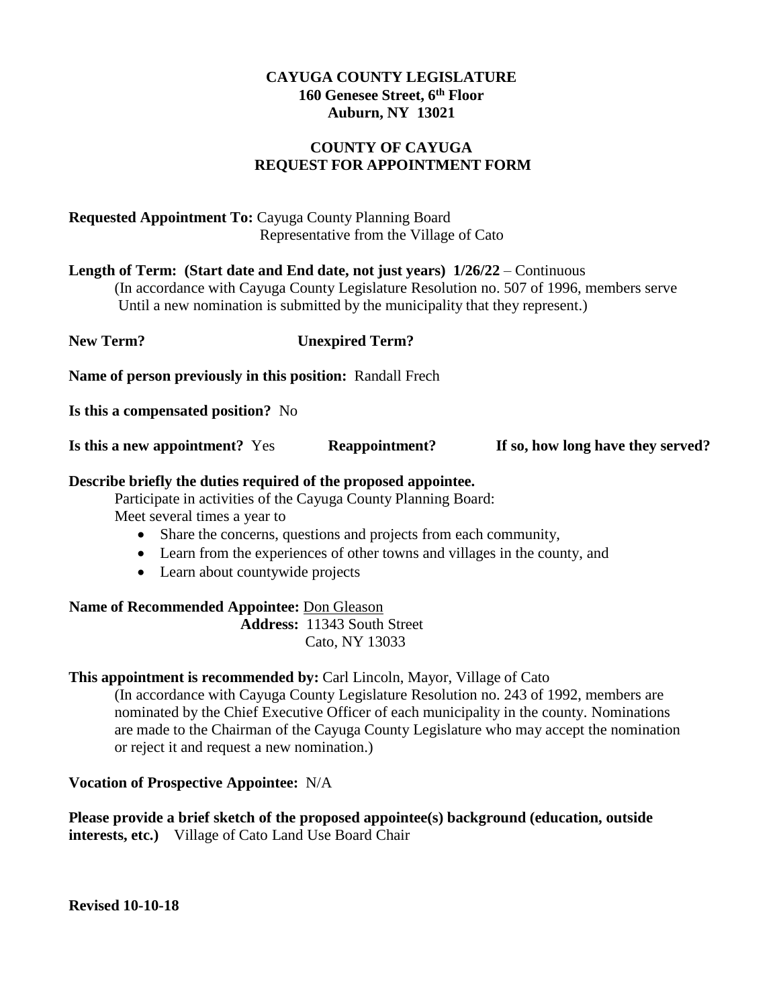# **COUNTY OF CAYUGA REQUEST FOR APPOINTMENT FORM**

# **Requested Appointment To:** Cayuga County Planning Board Representative from the Village of Cato

**Length of Term: (Start date and End date, not just years) 1/26/22** – Continuous

(In accordance with Cayuga County Legislature Resolution no. 507 of 1996, members serve Until a new nomination is submitted by the municipality that they represent.)

**New Term? Unexpired Term? Name of person previously in this position:** Randall Frech **Is this a compensated position?** No **Is this a new appointment?** Yes **Reappointment? If so, how long have they served?**

# **Describe briefly the duties required of the proposed appointee.**

Participate in activities of the Cayuga County Planning Board: Meet several times a year to

- Share the concerns, questions and projects from each community,
- Learn from the experiences of other towns and villages in the county, and
- Learn about countywide projects

**Name of Recommended Appointee:** Don Gleason **Address:** 11343 South Street Cato, NY 13033

# **This appointment is recommended by:** Carl Lincoln, Mayor, Village of Cato

(In accordance with Cayuga County Legislature Resolution no. 243 of 1992, members are nominated by the Chief Executive Officer of each municipality in the county. Nominations are made to the Chairman of the Cayuga County Legislature who may accept the nomination or reject it and request a new nomination.)

# **Vocation of Prospective Appointee:** N/A

**Please provide a brief sketch of the proposed appointee(s) background (education, outside interests, etc.)** Village of Cato Land Use Board Chair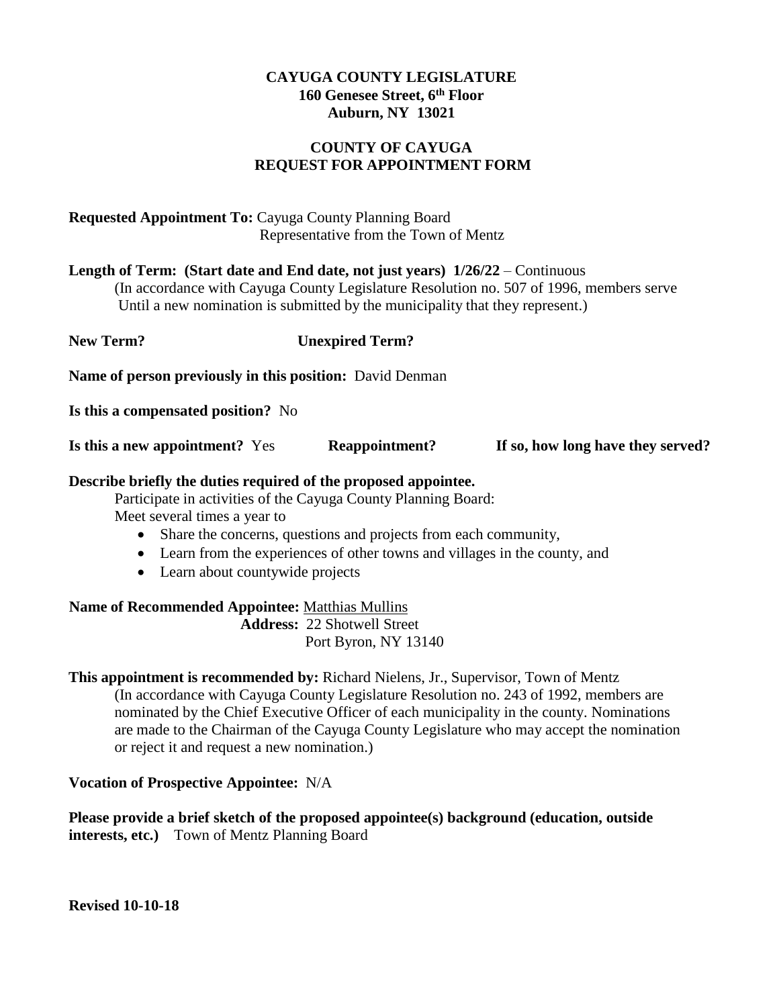# **COUNTY OF CAYUGA REQUEST FOR APPOINTMENT FORM**

# **Requested Appointment To:** Cayuga County Planning Board Representative from the Town of Mentz

**Length of Term: (Start date and End date, not just years) 1/26/22** – Continuous (In accordance with Cayuga County Legislature Resolution no. 507 of 1996, members serve

Until a new nomination is submitted by the municipality that they represent.)

| New Term?                                                       | <b>Unexpired Term?</b> |                                   |
|-----------------------------------------------------------------|------------------------|-----------------------------------|
| <b>Name of person previously in this position:</b> David Denman |                        |                                   |
| Is this a compensated position? No                              |                        |                                   |
| Is this a new appointment? Yes                                  | Reappointment?         | If so, how long have they served? |

# **Describe briefly the duties required of the proposed appointee.**

Participate in activities of the Cayuga County Planning Board: Meet several times a year to

- Share the concerns, questions and projects from each community,
- Learn from the experiences of other towns and villages in the county, and
- Learn about countywide projects

**Name of Recommended Appointee:** Matthias Mullins **Address:** 22 Shotwell Street Port Byron, NY 13140

**This appointment is recommended by:** Richard Nielens, Jr., Supervisor, Town of Mentz (In accordance with Cayuga County Legislature Resolution no. 243 of 1992, members are nominated by the Chief Executive Officer of each municipality in the county. Nominations are made to the Chairman of the Cayuga County Legislature who may accept the nomination or reject it and request a new nomination.)

# **Vocation of Prospective Appointee:** N/A

**Please provide a brief sketch of the proposed appointee(s) background (education, outside interests, etc.)** Town of Mentz Planning Board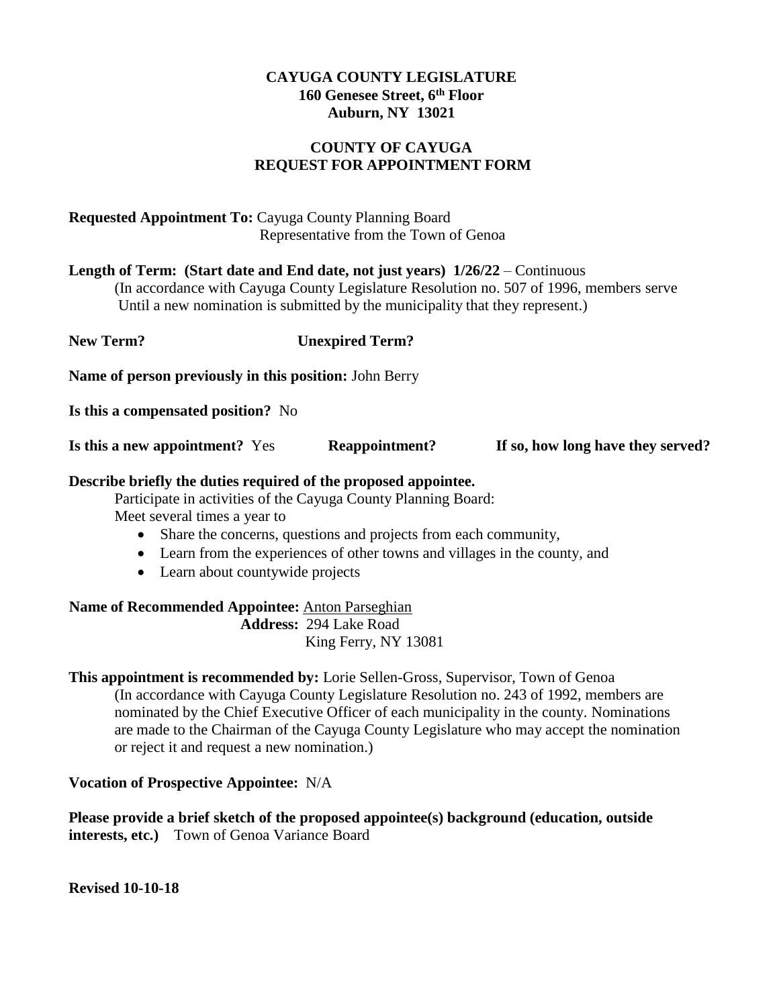# **COUNTY OF CAYUGA REQUEST FOR APPOINTMENT FORM**

# **Requested Appointment To:** Cayuga County Planning Board Representative from the Town of Genoa

**Length of Term: (Start date and End date, not just years) 1/26/22** – Continuous (In accordance with Cayuga County Legislature Resolution no. 507 of 1996, members serve Until a new nomination is submitted by the municipality that they represent.)

**New Term? Unexpired Term? Name of person previously in this position:** John Berry

**Is this a compensated position?** No

**Is this a new appointment?** Yes **Reappointment? If so, how long have they served?**

## **Describe briefly the duties required of the proposed appointee.**

Participate in activities of the Cayuga County Planning Board: Meet several times a year to

- Share the concerns, questions and projects from each community,
- Learn from the experiences of other towns and villages in the county, and
- Learn about countywide projects

**Name of Recommended Appointee:** Anton Parseghian **Address:** 294 Lake Road King Ferry, NY 13081

**This appointment is recommended by:** Lorie Sellen-Gross, Supervisor, Town of Genoa (In accordance with Cayuga County Legislature Resolution no. 243 of 1992, members are nominated by the Chief Executive Officer of each municipality in the county. Nominations are made to the Chairman of the Cayuga County Legislature who may accept the nomination or reject it and request a new nomination.)

#### **Vocation of Prospective Appointee:** N/A

**Please provide a brief sketch of the proposed appointee(s) background (education, outside interests, etc.)** Town of Genoa Variance Board

**Revised 10-10-18**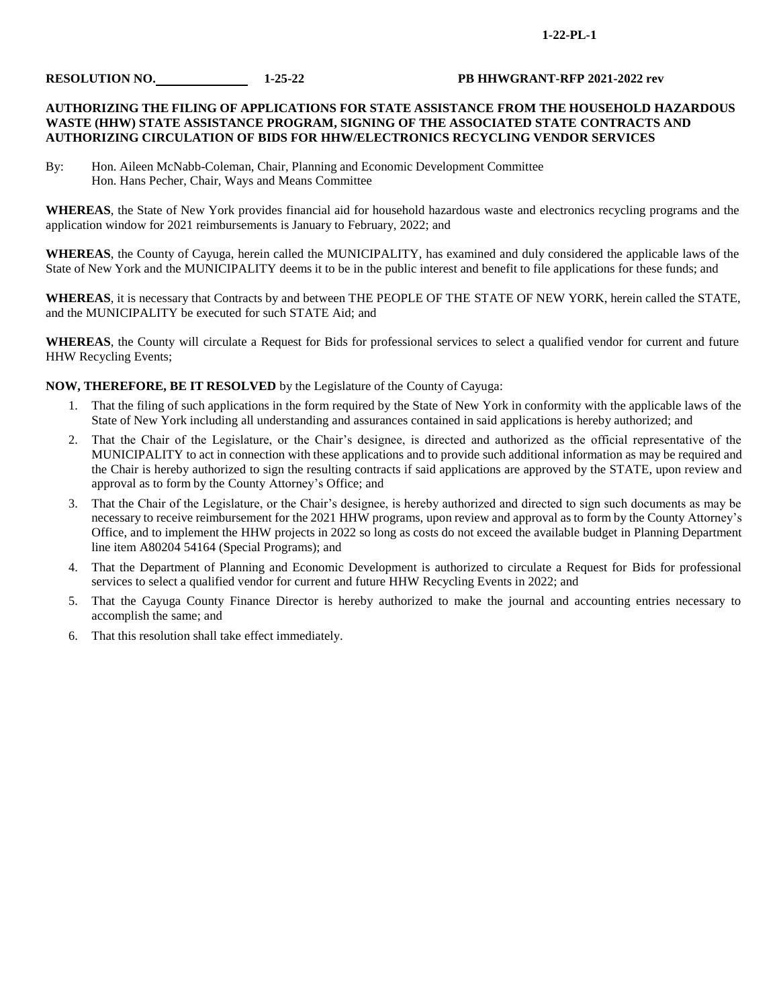#### **1-22-PL-1**

#### **RESOLUTION NO. 1-25-22 PB HHWGRANT-RFP 2021-2022 rev**

#### **AUTHORIZING THE FILING OF APPLICATIONS FOR STATE ASSISTANCE FROM THE HOUSEHOLD HAZARDOUS WASTE (HHW) STATE ASSISTANCE PROGRAM, SIGNING OF THE ASSOCIATED STATE CONTRACTS AND AUTHORIZING CIRCULATION OF BIDS FOR HHW/ELECTRONICS RECYCLING VENDOR SERVICES**

By: Hon. Aileen McNabb-Coleman, Chair, Planning and Economic Development Committee Hon. Hans Pecher, Chair, Ways and Means Committee

**WHEREAS**, the State of New York provides financial aid for household hazardous waste and electronics recycling programs and the application window for 2021 reimbursements is January to February, 2022; and

**WHEREAS**, the County of Cayuga, herein called the MUNICIPALITY, has examined and duly considered the applicable laws of the State of New York and the MUNICIPALITY deems it to be in the public interest and benefit to file applications for these funds; and

**WHEREAS**, it is necessary that Contracts by and between THE PEOPLE OF THE STATE OF NEW YORK, herein called the STATE, and the MUNICIPALITY be executed for such STATE Aid; and

**WHEREAS**, the County will circulate a Request for Bids for professional services to select a qualified vendor for current and future HHW Recycling Events;

**NOW, THEREFORE, BE IT RESOLVED** by the Legislature of the County of Cayuga:

- 1. That the filing of such applications in the form required by the State of New York in conformity with the applicable laws of the State of New York including all understanding and assurances contained in said applications is hereby authorized; and
- 2. That the Chair of the Legislature, or the Chair's designee, is directed and authorized as the official representative of the MUNICIPALITY to act in connection with these applications and to provide such additional information as may be required and the Chair is hereby authorized to sign the resulting contracts if said applications are approved by the STATE, upon review and approval as to form by the County Attorney's Office; and
- 3. That the Chair of the Legislature, or the Chair's designee, is hereby authorized and directed to sign such documents as may be necessary to receive reimbursement for the 2021 HHW programs, upon review and approval as to form by the County Attorney's Office, and to implement the HHW projects in 2022 so long as costs do not exceed the available budget in Planning Department line item A80204 54164 (Special Programs); and
- 4. That the Department of Planning and Economic Development is authorized to circulate a Request for Bids for professional services to select a qualified vendor for current and future HHW Recycling Events in 2022; and
- 5. That the Cayuga County Finance Director is hereby authorized to make the journal and accounting entries necessary to accomplish the same; and
- 6. That this resolution shall take effect immediately.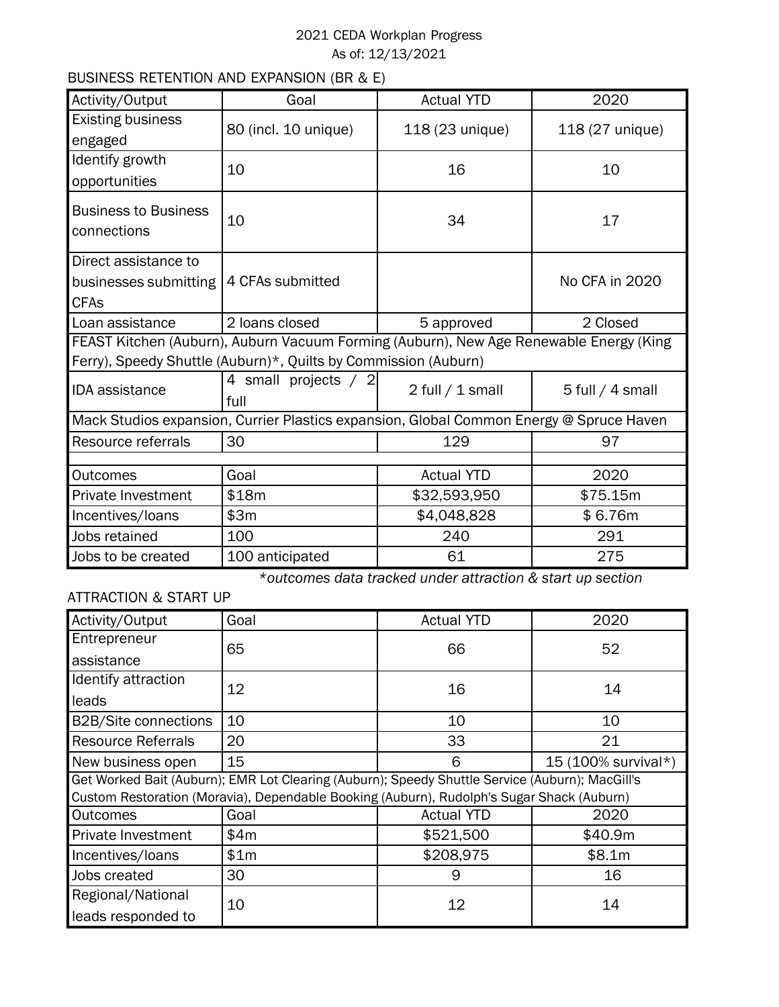# 2021 CEDA Workplan Progress As of: 12/13/2021

# BUSINESS RETENTION AND EXPANSION (BR & E)

| Activity/Output             | Goal                                                                                    | <b>Actual YTD</b> | 2020               |  |  |
|-----------------------------|-----------------------------------------------------------------------------------------|-------------------|--------------------|--|--|
| <b>Existing business</b>    | 80 (incl. 10 unique)                                                                    | 118 (23 unique)   | 118 (27 unique)    |  |  |
| engaged                     |                                                                                         |                   |                    |  |  |
| Identify growth             | 10                                                                                      | 16                | 10                 |  |  |
| opportunities               |                                                                                         |                   |                    |  |  |
| <b>Business to Business</b> |                                                                                         |                   |                    |  |  |
| connections                 | 10                                                                                      | 34                | 17                 |  |  |
| Direct assistance to        |                                                                                         |                   |                    |  |  |
| businesses submitting       | 4 CFAs submitted                                                                        |                   | No CFA in 2020     |  |  |
| <b>CFAs</b>                 |                                                                                         |                   |                    |  |  |
| Loan assistance             | 2 loans closed<br>5 approved                                                            |                   | 2 Closed           |  |  |
|                             | FEAST Kitchen (Auburn), Auburn Vacuum Forming (Auburn), New Age Renewable Energy (King  |                   |                    |  |  |
|                             | Ferry), Speedy Shuttle (Auburn)*, Quilts by Commission (Auburn)                         |                   |                    |  |  |
| <b>IDA</b> assistance       | 4 small projects / 2                                                                    | 2 full / 1 small  | $5$ full / 4 small |  |  |
|                             | full                                                                                    |                   |                    |  |  |
|                             | Mack Studios expansion, Currier Plastics expansion, Global Common Energy @ Spruce Haven |                   |                    |  |  |
| Resource referrals          | 30                                                                                      | 129               | 97                 |  |  |
|                             |                                                                                         |                   |                    |  |  |
| <b>Outcomes</b>             | Goal                                                                                    | <b>Actual YTD</b> | 2020               |  |  |
| Private Investment          | \$18m                                                                                   | \$32,593,950      | \$75.15m           |  |  |
| \$3m<br>Incentives/loans    |                                                                                         | \$4,048,828       | \$6.76m            |  |  |
| Jobs retained               | 100                                                                                     | 240               | 291                |  |  |
| Jobs to be created          | 100 anticipated                                                                         | 61                | 275                |  |  |

*\*outcomes data tracked under attraction & start up section*

# ATTRACTION & START UP

| Activity/Output             | Goal                                                                                            | <b>Actual YTD</b> | 2020                |  |
|-----------------------------|-------------------------------------------------------------------------------------------------|-------------------|---------------------|--|
| Entrepreneur                | 65                                                                                              | 66                | 52                  |  |
| assistance                  |                                                                                                 |                   |                     |  |
| Identify attraction         | 12                                                                                              | 16                | 14                  |  |
| leads                       |                                                                                                 |                   |                     |  |
| <b>B2B/Site connections</b> | 10                                                                                              | 10                | 10                  |  |
| <b>Resource Referrals</b>   | 20                                                                                              | 33                | 21                  |  |
| New business open           | 15                                                                                              | 6                 | 15 (100% survival*) |  |
|                             | Get Worked Bait (Auburn); EMR Lot Clearing (Auburn); Speedy Shuttle Service (Auburn); MacGill's |                   |                     |  |
|                             | Custom Restoration (Moravia), Dependable Booking (Auburn), Rudolph's Sugar Shack (Auburn)       |                   |                     |  |
| <b>Outcomes</b>             | Goal                                                                                            | <b>Actual YTD</b> | 2020                |  |
| Private Investment          | \$4m                                                                                            | \$521,500         | \$40.9m             |  |
| Incentives/loans            | \$1m                                                                                            | \$208,975         | \$8.1m              |  |
| Jobs created                | 30                                                                                              | 9                 | 16                  |  |
| Regional/National           | 10                                                                                              | 12                | 14                  |  |
| leads responded to          |                                                                                                 |                   |                     |  |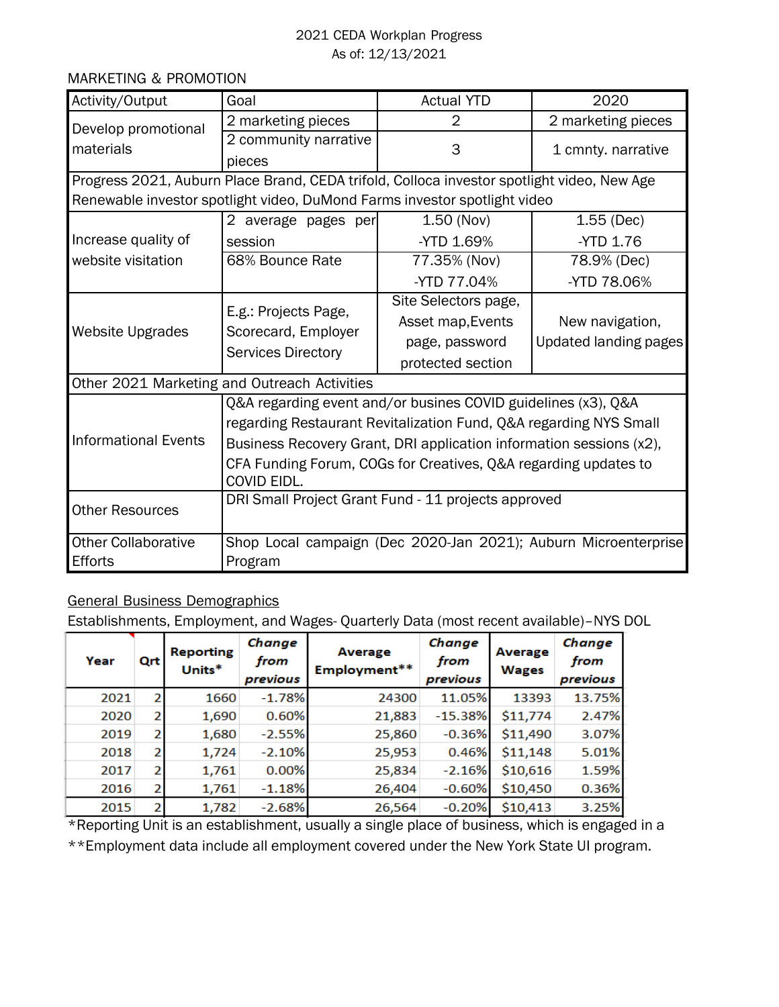## 2021 CEDA Workplan Progress As of: 12/13/2021

## MARKETING & PROMOTION

| Activity/Output             | Goal                                                                                       | <b>Actual YTD</b>                                             | 2020                                                            |  |  |  |  |
|-----------------------------|--------------------------------------------------------------------------------------------|---------------------------------------------------------------|-----------------------------------------------------------------|--|--|--|--|
| Develop promotional         | 2 marketing pieces                                                                         | 2                                                             | 2 marketing pieces                                              |  |  |  |  |
| materials                   | 2 community narrative                                                                      | 3                                                             | 1 cmnty. narrative                                              |  |  |  |  |
|                             | pieces                                                                                     |                                                               |                                                                 |  |  |  |  |
|                             | Progress 2021, Auburn Place Brand, CEDA trifold, Colloca investor spotlight video, New Age |                                                               |                                                                 |  |  |  |  |
|                             | Renewable investor spotlight video, DuMond Farms investor spotlight video                  |                                                               |                                                                 |  |  |  |  |
|                             | 2 average pages per                                                                        | $1.50$ (Nov)                                                  | $1.55$ (Dec)                                                    |  |  |  |  |
| Increase quality of         | session                                                                                    | -YTD 1.69%                                                    | -YTD 1.76                                                       |  |  |  |  |
| website visitation          | 68% Bounce Rate                                                                            | 77.35% (Nov)                                                  | 78.9% (Dec)                                                     |  |  |  |  |
|                             |                                                                                            | -YTD 77.04%                                                   | -YTD 78.06%                                                     |  |  |  |  |
|                             | E.g.: Projects Page,                                                                       | Site Selectors page,                                          |                                                                 |  |  |  |  |
| <b>Website Upgrades</b>     | Scorecard, Employer                                                                        | Asset map, Events                                             | New navigation,                                                 |  |  |  |  |
|                             | <b>Services Directory</b>                                                                  | page, password                                                | <b>Updated landing pages</b>                                    |  |  |  |  |
|                             |                                                                                            | protected section                                             |                                                                 |  |  |  |  |
|                             | Other 2021 Marketing and Outreach Activities                                               |                                                               |                                                                 |  |  |  |  |
|                             |                                                                                            | Q&A regarding event and/or busines COVID guidelines (x3), Q&A |                                                                 |  |  |  |  |
|                             | regarding Restaurant Revitalization Fund, Q&A regarding NYS Small                          |                                                               |                                                                 |  |  |  |  |
| <b>Informational Events</b> | Business Recovery Grant, DRI application information sessions (x2),                        |                                                               |                                                                 |  |  |  |  |
|                             | CFA Funding Forum, COGs for Creatives, Q&A regarding updates to                            |                                                               |                                                                 |  |  |  |  |
|                             | COVID EIDL.                                                                                |                                                               |                                                                 |  |  |  |  |
| <b>Other Resources</b>      | DRI Small Project Grant Fund - 11 projects approved                                        |                                                               |                                                                 |  |  |  |  |
| <b>Other Collaborative</b>  |                                                                                            |                                                               | Shop Local campaign (Dec 2020-Jan 2021); Auburn Microenterprise |  |  |  |  |
| Efforts                     | Program                                                                                    |                                                               |                                                                 |  |  |  |  |

# General Business Demographics

Establishments, Employment, and Wages- Quarterly Data (most recent available)–NYS DOL

| Year | Qrt            | <b>Reporting</b><br>Units* | Change<br>from<br>previous | Average<br>Employment** | Change<br>from<br>previous | Average<br><b>Wages</b> | Change<br>from<br>previous |
|------|----------------|----------------------------|----------------------------|-------------------------|----------------------------|-------------------------|----------------------------|
| 2021 | $\overline{2}$ | 1660                       | $-1.78%$                   | 24300                   | 11.05%                     | 13393                   | 13.75%                     |
| 2020 | 2              | 1,690                      | 0.60%                      | 21,883                  | $-15.38%$                  | \$11,774                | 2.47%                      |
| 2019 | 2              | 1,680                      | $-2.55%$                   | 25,860                  | $-0.36%$                   | \$11,490                | 3.07%                      |
| 2018 | 2              | 1,724                      | $-2.10%$                   | 25,953                  | 0.46%                      | \$11,148                | 5.01%                      |
| 2017 | $\overline{2}$ | 1,761                      | 0.00%                      | 25,834                  | $-2.16%$                   | \$10,616                | 1.59%                      |
| 2016 | 2              | 1,761                      | $-1.18%$                   | 26,404                  | $-0.60%$                   | \$10,450                | 0.36%                      |
| 2015 | $\overline{2}$ | 1,782                      | $-2.68%$                   | 26,564                  | $-0.20%$                   | \$10,413                | 3.25%                      |

\*Reporting Unit is an establishment, usually a single place of business, which is engaged in a \*\*Employment data include all employment covered under the New York State UI program.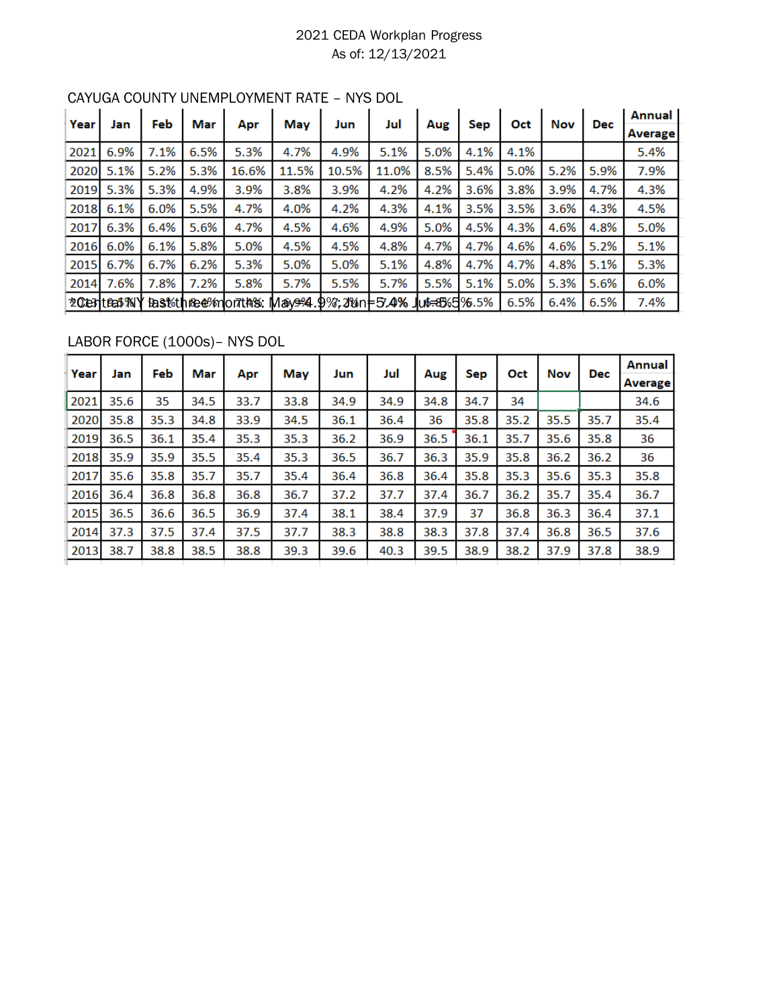# 2021 CEDA Workplan Progress As of: 12/13/2021

| Year |                  | Feb  | Mar  |                           | Mav                                | Jun   | Jul   |                           |      | Oct  | <b>Nov</b> |            | Annual  |
|------|------------------|------|------|---------------------------|------------------------------------|-------|-------|---------------------------|------|------|------------|------------|---------|
|      | Jan              |      |      | Apr                       |                                    |       |       | Aug                       | Sep  |      |            | <b>Dec</b> | Average |
| 2021 | 6.9%             | 7.1% | 6.5% | 5.3%                      | 4.7%                               | 4.9%  | 5.1%  | 5.0%                      | 4.1% | 4.1% |            |            | 5.4%    |
| 2020 | 5.1%             | 5.2% | 5.3% | 16.6%                     | 11.5%                              | 10.5% | 11.0% | 8.5%                      | 5.4% | 5.0% | 5.2%       | 5.9%       | 7.9%    |
| 2019 | 5.3%             | 5.3% | 4.9% | 3.9%                      | 3.8%                               | 3.9%  | 4.2%  | 4.2%                      | 3.6% | 3.8% | 3.9%       | 4.7%       | 4.3%    |
| 2018 | 6.1%             | 6.0% | 5.5% | 4.7%                      | 4.0%                               | 4.2%  | 4.3%  | 4.1%                      | 3.5% | 3.5% | 3.6%       | 4.3%       | 4.5%    |
| 2017 | 6.3%             | 6.4% | 5.6% | 4.7%                      | 4.5%                               | 4.6%  | 4.9%  | 5.0%                      | 4.5% | 4.3% | 4.6%       | 4.8%       | 5.0%    |
| 2016 | 6.0%             | 6.1% | 5.8% | 5.0%                      | 4.5%                               | 4.5%  | 4.8%  | 4.7%                      | 4.7% | 4.6% | 4.6%       | 5.2%       | 5.1%    |
| 2015 | 6.7%             | 6.7% | 6.2% | 5.3%                      | 5.0%                               | 5.0%  | 5.1%  | 4.8%                      | 4.7% | 4.7% | 4.8%       | 5.1%       | 5.3%    |
| 2014 | 7.6%             | 7.8% | 7.2% | 5.8%                      | 5.7%                               | 5.5%  | 5.7%  | 5.5%                      | 5.1% | 5.0% | 5.3%       | 5.6%       | 6.0%    |
|      | 20 test (Feat %) |      |      | <b>East three months:</b> | May <del>924</del> 9%, 2Min = 5.4% |       |       | Ju <del>6.8</del> 3%5%.5% |      | 6.5% | 6.4%       | 6.5%       | 7.4%    |

# CAYUGA COUNTY UNEMPLOYMENT RATE – NYS DOL

# LABOR FORCE (1000s)– NYS DOL

| Year | Jan  | Feb  | Mar  | Apr  | May  | Jun  | Jul  | Aug  | <b>Sep</b> | Oct  | Nov  | <b>Dec</b> | Annual<br>Average |
|------|------|------|------|------|------|------|------|------|------------|------|------|------------|-------------------|
| 2021 | 35.6 | 35   | 34.5 | 33.7 | 33.8 | 34.9 | 34.9 | 34.8 | 34.7       | 34   |      |            | 34.6              |
| 2020 | 35.8 | 35.3 | 34.8 | 33.9 | 34.5 | 36.1 | 36.4 | 36   | 35.8       | 35.2 | 35.5 | 35.7       | 35.4              |
| 2019 | 36.5 | 36.1 | 35.4 | 35.3 | 35.3 | 36.2 | 36.9 | 36.5 | 36.1       | 35.7 | 35.6 | 35.8       | 36                |
| 2018 | 35.9 | 35.9 | 35.5 | 35.4 | 35.3 | 36.5 | 36.7 | 36.3 | 35.9       | 35.8 | 36.2 | 36.2       | 36                |
| 2017 | 35.6 | 35.8 | 35.7 | 35.7 | 35.4 | 36.4 | 36.8 | 36.4 | 35.8       | 35.3 | 35.6 | 35.3       | 35.8              |
| 2016 | 36.4 | 36.8 | 36.8 | 36.8 | 36.7 | 37.2 | 37.7 | 37.4 | 36.7       | 36.2 | 35.7 | 35.4       | 36.7              |
| 2015 | 36.5 | 36.6 | 36.5 | 36.9 | 37.4 | 38.1 | 38.4 | 37.9 | 37         | 36.8 | 36.3 | 36.4       | 37.1              |
| 2014 | 37.3 | 37.5 | 37.4 | 37.5 | 37.7 | 38.3 | 38.8 | 38.3 | 37.8       | 37.4 | 36.8 | 36.5       | 37.6              |
| 2013 | 38.7 | 38.8 | 38.5 | 38.8 | 39.3 | 39.6 | 40.3 | 39.5 | 38.9       | 38.2 | 37.9 | 37.8       | 38.9              |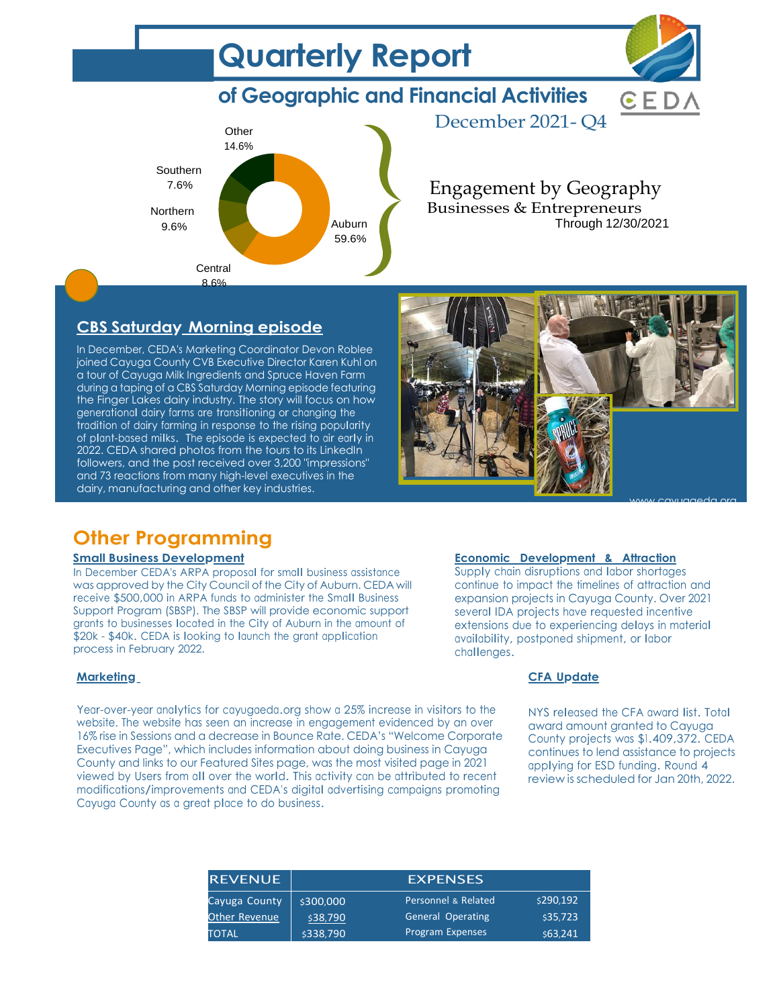



GED

December 2021- Q4

Engagement by Geography Businesses & Entrepreneurs Through 12/30/2021

# **CBS Saturday Morning episode**

In December, CEDA's Marketing Coordinator Devon Roblee joined Cayuga County CVB Executive Director Karen Kuhl on a tour of Cayuga Milk Ingredients and Spruce Haven Farm during a taping of a CBS Saturday Morning episode featuring the Finger Lakes dairy industry. The story will focus on how generational dairy farms are transitioning or changing the tradition of dairy farming in response to the rising popularity of plant-based milks. The episode is expected to air early in 2022. CEDA shared photos from the tours to its LinkedIn followers, and the post received over 3,200 "impressions" and 73 reactions from many high-level executives in the dairy, manufacturing and other key industries.



# **Other Programming**

#### **Small Business Development**

In December CEDA's ARPA proposal for small business assistance was approved by the City Council of the City of Auburn. CEDA will receive \$500,000 in ARPA funds to administer the Small Business Support Program (SBSP). The SBSP will provide economic support grants to businesses located in the City of Auburn in the amount of \$20k - \$40k. CEDA is looking to launch the grant application process in February 2022.

#### **Marketing**

Year-over-year analytics for cayugaeda.org show <sup>a</sup> 25% increase in visitors to the website. The website has seen an increase in engagement evidenced by an over 16% rise in Sessions and a decrease in Bounce Rate. CEDA's "Welcome Corporate Executives Page", which includes information about doing business in Cayuga County and links to our Featured Sites page, was the most visited page in 2021 viewed by Users from all over the world. This activity can be attributed to recent modifications/improvements and CEDA'<sup>s</sup> digital advertising campaigns promoting Cayuga County as <sup>a</sup> great place to do business.

| <b>REVENUE</b> |           | <b>EXPENSES</b>          |           |  |  |  |  |
|----------------|-----------|--------------------------|-----------|--|--|--|--|
| Cayuga County  | \$300,000 | Personnel & Related      | \$290.192 |  |  |  |  |
| Other Revenue  | \$38,790  | <b>General Operating</b> | \$35.723  |  |  |  |  |
| TOTAL          | \$338.790 | Program Expenses         | \$63.241  |  |  |  |  |

#### **Economic Development & Attraction**

Supply chain disruptions and labor shortages continue to impact the timelines of attraction and expansion projects in Cayuga County. Over 2021 several IDA projects have requested incentive extensions due to experiencing delays in material availability, postponed shipment, or labor challenges.

#### **CFA Update**

NYS released the CFA award list. Total award amount granted to Cayuga County projects was \$1.409,372. CEDA continues to lend assistance to projects applying for ESD funding. Round 4 review is scheduled for Jan 20th, 2022.